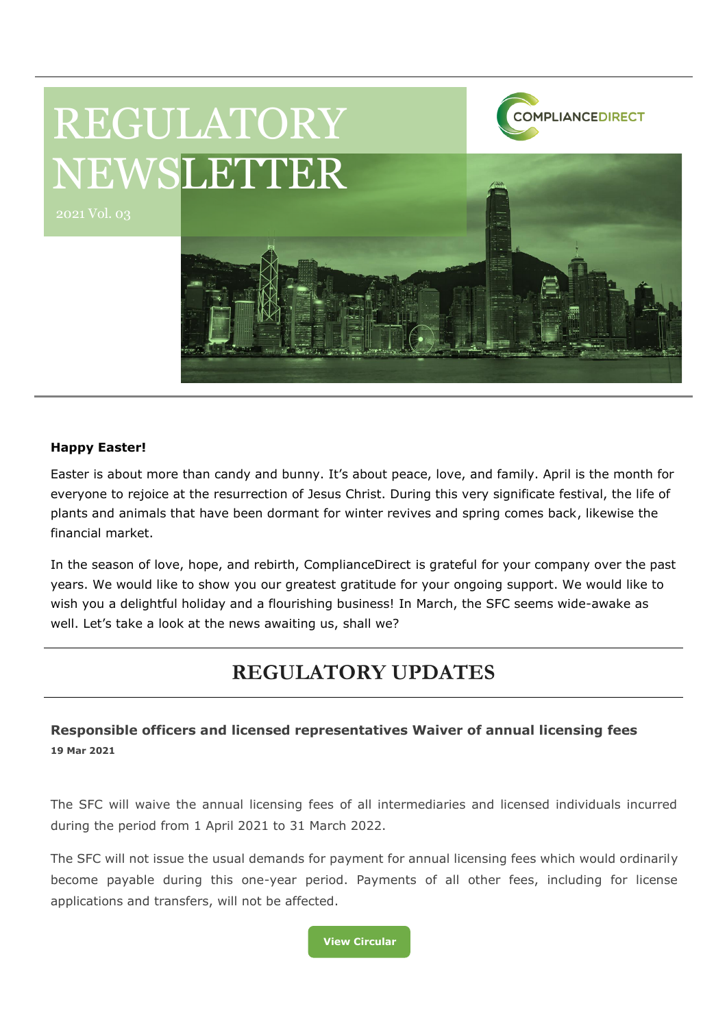

#### **Happy Easter!**

Easter is about more than candy and bunny. It's about peace, love, and family. April is the month for everyone to rejoice at the resurrection of Jesus Christ. During this very significate festival, the life of plants and animals that have been dormant for winter revives and spring comes back, likewise the financial market.

In the season of love, hope, and rebirth, ComplianceDirect is grateful for your company over the past years. We would like to show you our greatest gratitude for your ongoing support. We would like to wish you a delightful holiday and a flourishing business! In March, the SFC seems wide-awake as well. Let's take a look at the news awaiting us, shall we?

# **REGULATORY UPDATES**

**Responsible officers and licensed representatives Waiver of annual licensing fees 19 Mar 2021**

The SFC will waive the annual licensing fees of all intermediaries and licensed individuals incurred during the period from 1 April 2021 to 31 March 2022.

The SFC will not issue the usual demands for payment for annual licensing fees which would ordinarily become payable during this one-year period. Payments of all other fees, including for license applications and transfers, will not be affected.

**[View Circular](https://apps.sfc.hk/edistributionWeb/gateway/EN/circular/doc?refNo=21EC10)**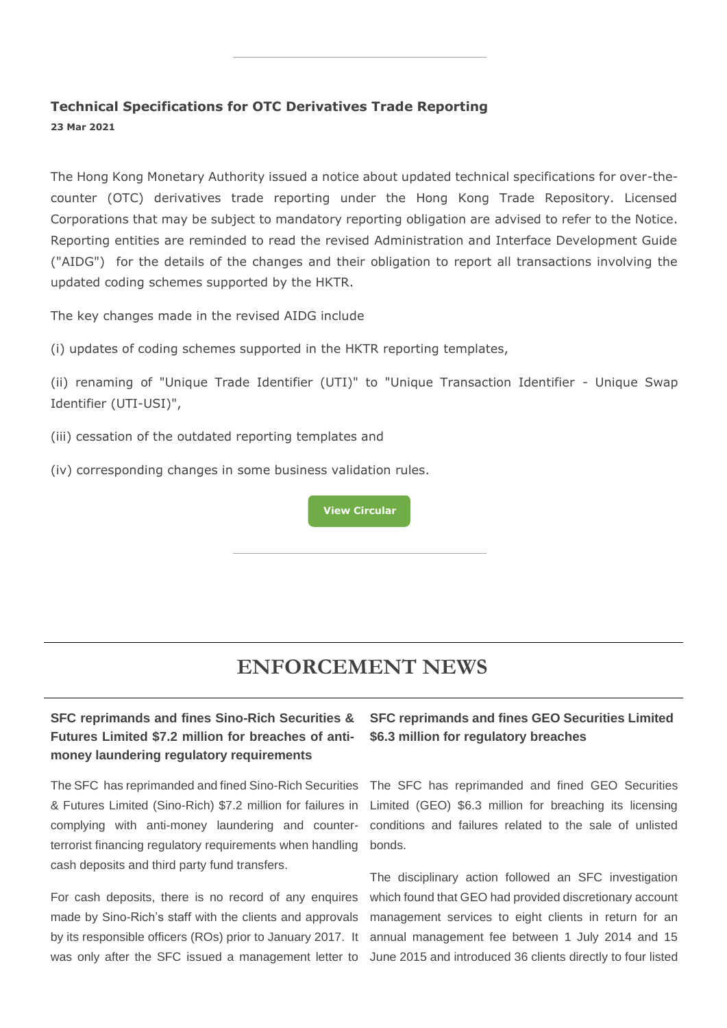#### **Technical Specifications for OTC Derivatives Trade Reporting 23 Mar 2021**

The Hong Kong Monetary Authority issued a notice about updated technical specifications for over-thecounter (OTC) derivatives trade reporting under the Hong Kong Trade Repository. Licensed Corporations that may be subject to mandatory reporting obligation are advised to refer to the Notice. Reporting entities are reminded to read the revised Administration and Interface Development Guide ("AIDG") for the details of the changes and their obligation to report all transactions involving the updated coding schemes supported by the HKTR.

The key changes made in the revised AIDG include

(i) updates of coding schemes supported in the HKTR reporting templates,

(ii) renaming of "Unique Trade Identifier (UTI)" to "Unique Transaction Identifier - Unique Swap Identifier (UTI-USI)",

- (iii) cessation of the outdated reporting templates and
- (iv) corresponding changes in some business validation rules.

**[View Circular](https://apps.sfc.hk/edistributionWeb/gateway/EN/circular/doc?refNo=21EC11)**

## **ENFORCEMENT NEWS**

#### **SFC reprimands and fines Sino-Rich Securities & Futures Limited \$7.2 million for breaches of antimoney laundering regulatory requirements**

The SFC has reprimanded and fined Sino-Rich Securities & Futures Limited (Sino-Rich) \$7.2 million for failures in complying with anti-money laundering and counterterrorist financing regulatory requirements when handling cash deposits and third party fund transfers.

For cash deposits, there is no record of any enquires made by Sino-Rich's staff with the clients and approvals by its responsible officers (ROs) prior to January 2017. It was only after the SFC issued a management letter to

#### **SFC reprimands and fines GEO Securities Limited \$6.3 million for regulatory breaches**

The SFC has reprimanded and fined GEO Securities Limited (GEO) \$6.3 million for breaching its licensing conditions and failures related to the sale of unlisted bonds.

The disciplinary action followed an SFC investigation which found that GEO had provided discretionary account management services to eight clients in return for an annual management fee between 1 July 2014 and 15 June 2015 and introduced 36 clients directly to four listed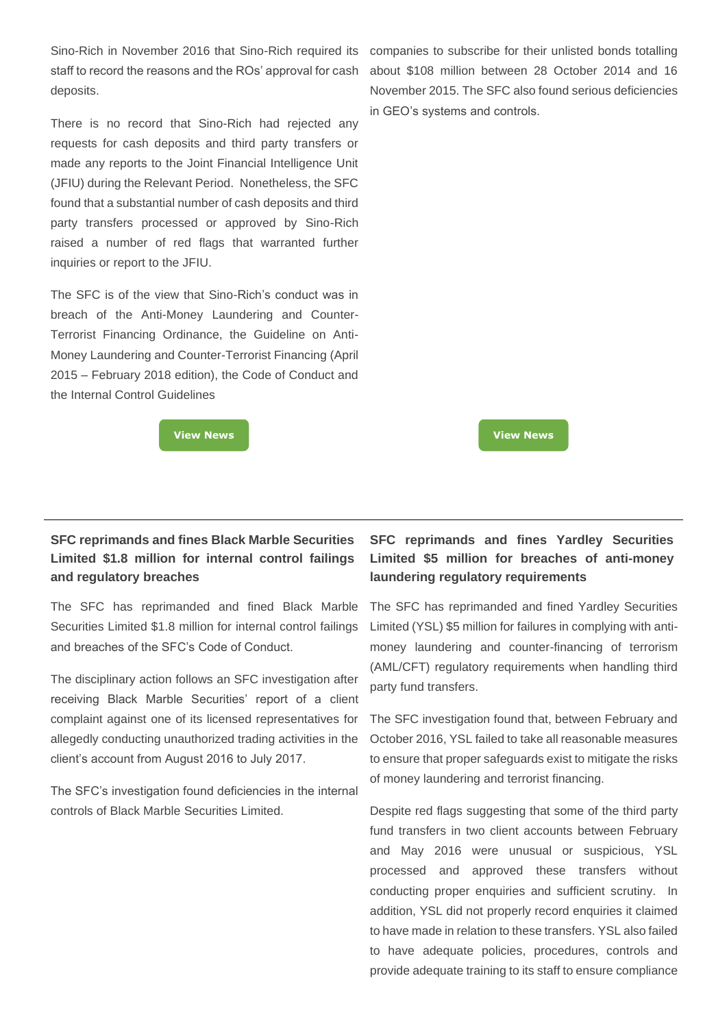Sino-Rich in November 2016 that Sino-Rich required its staff to record the reasons and the ROs' approval for cash deposits.

There is no record that Sino-Rich had rejected any requests for cash deposits and third party transfers or made any reports to the Joint Financial Intelligence Unit (JFIU) during the Relevant Period. Nonetheless, the SFC found that a substantial number of cash deposits and third party transfers processed or approved by Sino-Rich raised a number of red flags that warranted further inquiries or report to the JFIU.

The SFC is of the view that Sino-Rich's conduct was in breach of the Anti-Money Laundering and Counter-Terrorist Financing Ordinance, the Guideline on Anti-Money Laundering and Counter-Terrorist Financing (April 2015 – February 2018 edition), the Code of Conduct and the Internal Control Guidelines

#### **SFC reprimands and fines Black Marble Securities Limited \$1.8 million for internal control failings and regulatory breaches**

The SFC has reprimanded and fined Black Marble Securities Limited \$1.8 million for internal control failings and breaches of the SFC's Code of Conduct.

The disciplinary action follows an SFC investigation after receiving Black Marble Securities' report of a client complaint against one of its licensed representatives for allegedly conducting unauthorized trading activities in the client's account from August 2016 to July 2017.

The SFC's investigation found deficiencies in the internal controls of Black Marble Securities Limited.

### **SFC reprimands and fines Yardley Securities Limited \$5 million for breaches of anti-money laundering regulatory requirements**

The SFC has reprimanded and fined Yardley Securities Limited (YSL) \$5 million for failures in complying with antimoney laundering and counter-financing of terrorism (AML/CFT) regulatory requirements when handling third party fund transfers.

The SFC investigation found that, between February and October 2016, YSL failed to take all reasonable measures to ensure that proper safeguards exist to mitigate the risks of money laundering and terrorist financing.

Despite red flags suggesting that some of the third party fund transfers in two client accounts between February and May 2016 were unusual or suspicious, YSL processed and approved these transfers without conducting proper enquiries and sufficient scrutiny. In addition, YSL did not properly record enquiries it claimed to have made in relation to these transfers. YSL also failed to have adequate policies, procedures, controls and provide adequate training to its staff to ensure compliance

companies to subscribe for their unlisted bonds totalling about \$108 million between 28 October 2014 and 16 November 2015. The SFC also found serious deficiencies in GEO's systems and controls.

**[View News](https://apps.sfc.hk/edistributionWeb/gateway/EN/news-and-announcements/news/enforcement-news/doc?refNo=21PR29) [View News](https://apps.sfc.hk/edistributionWeb/gateway/EN/news-and-announcements/news/enforcement-news/doc?refNo=21PR34)**